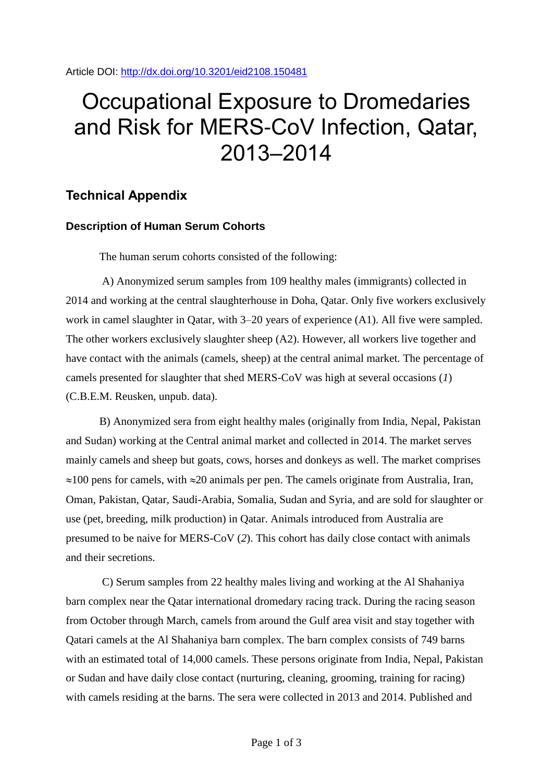Article DOI:<http://dx.doi.org/10.3201/eid2108.150481>

## Occupational Exposure to Dromedaries and Risk for MERS-CoV Infection, Qatar, 2013–2014

## **Technical Appendix**

## **Description of Human Serum Cohorts**

The human serum cohorts consisted of the following:

A) Anonymized serum samples from 109 healthy males (immigrants) collected in 2014 and working at the central slaughterhouse in Doha, Qatar. Only five workers exclusively work in camel slaughter in Qatar, with 3–20 years of experience (A1). All five were sampled. The other workers exclusively slaughter sheep (A2). However, all workers live together and have contact with the animals (camels, sheep) at the central animal market. The percentage of camels presented for slaughter that shed MERS-CoV was high at several occasions (*1*) (C.B.E.M. Reusken, unpub. data).

B) Anonymized sera from eight healthy males (originally from India, Nepal, Pakistan and Sudan) working at the Central animal market and collected in 2014. The market serves mainly camels and sheep but goats, cows, horses and donkeys as well. The market comprises  $\approx$ 100 pens for camels, with  $\approx$ 20 animals per pen. The camels originate from Australia, Iran, Oman, Pakistan, Qatar, Saudi-Arabia, Somalia, Sudan and Syria, and are sold for slaughter or use (pet, breeding, milk production) in Qatar. Animals introduced from Australia are presumed to be naive for MERS-CoV (*2*). This cohort has daily close contact with animals and their secretions.

C) Serum samples from 22 healthy males living and working at the Al Shahaniya barn complex near the Qatar international dromedary racing track. During the racing season from October through March, camels from around the Gulf area visit and stay together with Qatari camels at the Al Shahaniya barn complex. The barn complex consists of 749 barns with an estimated total of 14,000 camels. These persons originate from India, Nepal, Pakistan or Sudan and have daily close contact (nurturing, cleaning, grooming, training for racing) with camels residing at the barns. The sera were collected in 2013 and 2014. Published and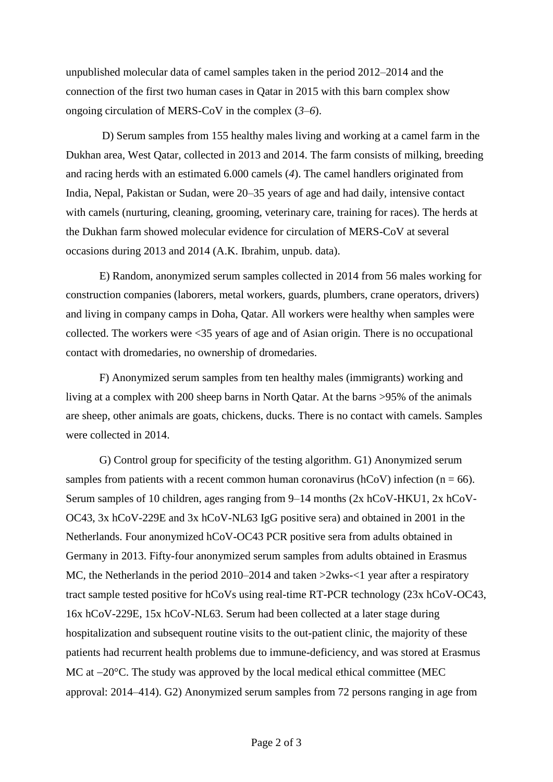unpublished molecular data of camel samples taken in the period 2012–2014 and the connection of the first two human cases in Qatar in 2015 with this barn complex show ongoing circulation of MERS-CoV in the complex (*3*–*6*).

D) Serum samples from 155 healthy males living and working at a camel farm in the Dukhan area, West Qatar, collected in 2013 and 2014. The farm consists of milking, breeding and racing herds with an estimated 6.000 camels (*4*). The camel handlers originated from India, Nepal, Pakistan or Sudan, were 20–35 years of age and had daily, intensive contact with camels (nurturing, cleaning, grooming, veterinary care, training for races). The herds at the Dukhan farm showed molecular evidence for circulation of MERS-CoV at several occasions during 2013 and 2014 (A.K. Ibrahim, unpub. data).

E) Random, anonymized serum samples collected in 2014 from 56 males working for construction companies (laborers, metal workers, guards, plumbers, crane operators, drivers) and living in company camps in Doha, Qatar. All workers were healthy when samples were collected. The workers were <35 years of age and of Asian origin. There is no occupational contact with dromedaries, no ownership of dromedaries.

F) Anonymized serum samples from ten healthy males (immigrants) working and living at a complex with 200 sheep barns in North Qatar. At the barns >95% of the animals are sheep, other animals are goats, chickens, ducks. There is no contact with camels. Samples were collected in 2014.

G) Control group for specificity of the testing algorithm. G1) Anonymized serum samples from patients with a recent common human coronavirus (hCoV) infection ( $n = 66$ ). Serum samples of 10 children, ages ranging from 9–14 months (2x hCoV-HKU1, 2x hCoV-OC43, 3x hCoV-229E and 3x hCoV-NL63 IgG positive sera) and obtained in 2001 in the Netherlands. Four anonymized hCoV-OC43 PCR positive sera from adults obtained in Germany in 2013. Fifty-four anonymized serum samples from adults obtained in Erasmus MC, the Netherlands in the period 2010–2014 and taken  $>2w$ ks- $<1$  year after a respiratory tract sample tested positive for hCoVs using real-time RT-PCR technology (23x hCoV-OC43, 16x hCoV-229E, 15x hCoV-NL63. Serum had been collected at a later stage during hospitalization and subsequent routine visits to the out-patient clinic, the majority of these patients had recurrent health problems due to immune-deficiency, and was stored at Erasmus MC at  $-20^{\circ}$ C. The study was approved by the local medical ethical committee (MEC approval: 2014–414). G2) Anonymized serum samples from 72 persons ranging in age from